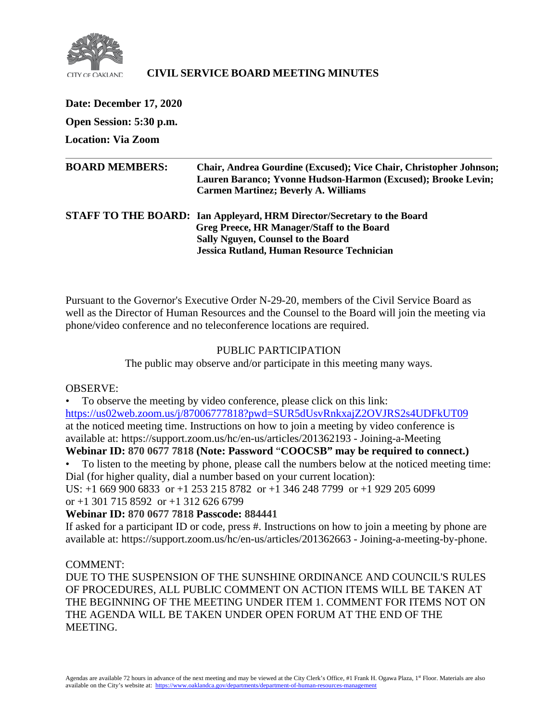

# **CIVIL SERVICE BOARD MEETING MINUTES**

**Date: December 17, 2020 Open Session: 5:30 p.m. Location: Via Zoom BOARD MEMBERS: Chair, Andrea Gourdine (Excused); Vice Chair, Christopher Johnson; Lauren Baranco; Yvonne Hudson-Harmon (Excused); Brooke Levin; Carmen Martinez; Beverly A. Williams STAFF TO THE BOARD: Ian Appleyard, HRM Director/Secretary to the Board Greg Preece, HR Manager/Staff to the Board Sally Nguyen, Counsel to the Board Jessica Rutland, Human Resource Technician**

Pursuant to the Governor's Executive Order N-29-20, members of the Civil Service Board as well as the Director of Human Resources and the Counsel to the Board will join the meeting via phone/video conference and no teleconference locations are required.

#### PUBLIC PARTICIPATION

The public may observe and/or participate in this meeting many ways.

### OBSERVE:

• To observe the meeting by video conference, please click on this link: <https://us02web.zoom.us/j/87006777818?pwd=SUR5dUsvRnkxajZ2OVJRS2s4UDFkUT09> at the noticed meeting time. Instructions on how to join a meeting by video conference is available at: https://support.zoom.us/hc/en-us/articles/201362193 - Joining-a-Meeting

# **Webinar ID: 870 0677 7818 (Note: Password** "**COOCSB" may be required to connect.)**

• To listen to the meeting by phone, please call the numbers below at the noticed meeting time: Dial (for higher quality, dial a number based on your current location):

US: +1 669 900 6833 or +1 253 215 8782 or +1 346 248 7799 or +1 929 205 6099 or  $+1$  301 715 8592 or  $+1$  312 626 6799

# **Webinar ID: 870 0677 7818 Passcode: 884441**

If asked for a participant ID or code, press #. Instructions on how to join a meeting by phone are available at: https://support.zoom.us/hc/en-us/articles/201362663 - Joining-a-meeting-by-phone.

### COMMENT:

DUE TO THE SUSPENSION OF THE SUNSHINE ORDINANCE AND COUNCIL'S RULES OF PROCEDURES, ALL PUBLIC COMMENT ON ACTION ITEMS WILL BE TAKEN AT THE BEGINNING OF THE MEETING UNDER ITEM 1. COMMENT FOR ITEMS NOT ON THE AGENDA WILL BE TAKEN UNDER OPEN FORUM AT THE END OF THE MEETING.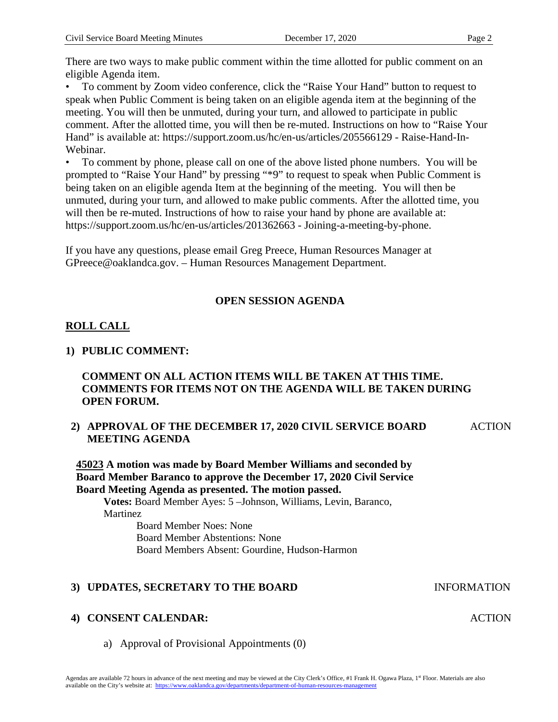There are two ways to make public comment within the time allotted for public comment on an eligible Agenda item.

• To comment by Zoom video conference, click the "Raise Your Hand" button to request to speak when Public Comment is being taken on an eligible agenda item at the beginning of the meeting. You will then be unmuted, during your turn, and allowed to participate in public comment. After the allotted time, you will then be re-muted. Instructions on how to "Raise Your Hand" is available at: https://support.zoom.us/hc/en-us/articles/205566129 - Raise-Hand-In-Webinar.

• To comment by phone, please call on one of the above listed phone numbers. You will be prompted to "Raise Your Hand" by pressing "\*9" to request to speak when Public Comment is being taken on an eligible agenda Item at the beginning of the meeting. You will then be unmuted, during your turn, and allowed to make public comments. After the allotted time, you will then be re-muted. Instructions of how to raise your hand by phone are available at: https://support.zoom.us/hc/en-us/articles/201362663 - Joining-a-meeting-by-phone.

If you have any questions, please email Greg Preece, Human Resources Manager at GPreece@oaklandca.gov. – Human Resources Management Department.

# **OPEN SESSION AGENDA**

# **ROLL CALL**

## **1) PUBLIC COMMENT:**

# **COMMENT ON ALL ACTION ITEMS WILL BE TAKEN AT THIS TIME. COMMENTS FOR ITEMS NOT ON THE AGENDA WILL BE TAKEN DURING OPEN FORUM.**

#### **2) APPROVAL OF THE DECEMBER 17, 2020 CIVIL SERVICE BOARD MEETING AGENDA ACTION**

**45023 A motion was made by Board Member Williams and seconded by Board Member Baranco to approve the December 17, 2020 Civil Service Board Meeting Agenda as presented. The motion passed.**

**Votes:** Board Member Ayes: 5 –Johnson, Williams, Levin, Baranco, **Martinez** Board Member Noes: None Board Member Abstentions: None

Board Members Absent: Gourdine, Hudson-Harmon

# **3) UPDATES, SECRETARY TO THE BOARD INFORMATION**

### **4) CONSENT CALENDAR:**

a) Approval of Provisional Appointments (0)

**ACTION**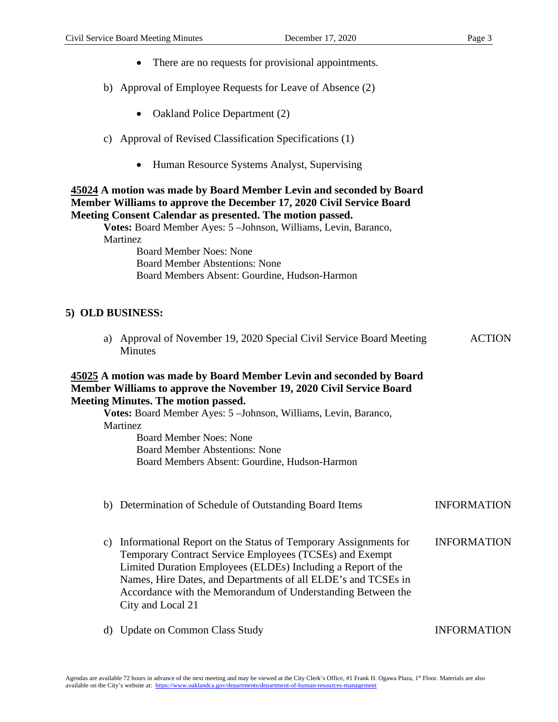- There are no requests for provisional appointments.
- b) Approval of Employee Requests for Leave of Absence (2)
	- Oakland Police Department (2)
- c) Approval of Revised Classification Specifications (1)
	- Human Resource Systems Analyst, Supervising

## **45024 A motion was made by Board Member Levin and seconded by Board Member Williams to approve the December 17, 2020 Civil Service Board Meeting Consent Calendar as presented. The motion passed.**

**Votes:** Board Member Ayes: 5 –Johnson, Williams, Levin, Baranco, **Martinez** 

> Board Member Noes: None Board Member Abstentions: None Board Members Absent: Gourdine, Hudson-Harmon

# **5) OLD BUSINESS:**

a) Approval of November 19, 2020 Special Civil Service Board Meeting Minutes ACTION

#### **45025 A motion was made by Board Member Levin and seconded by Board Member Williams to approve the November 19, 2020 Civil Service Board Meeting Minutes. The motion passed.**

**Votes:** Board Member Ayes: 5 –Johnson, Williams, Levin, Baranco, Martinez

> Board Member Noes: None Board Member Abstentions: None Board Members Absent: Gourdine, Hudson-Harmon

| b) | Determination of Schedule of Outstanding Board Items                                                                                                                                                                                                                                                                                            | <b>INFORMATION</b> |
|----|-------------------------------------------------------------------------------------------------------------------------------------------------------------------------------------------------------------------------------------------------------------------------------------------------------------------------------------------------|--------------------|
| C) | Informational Report on the Status of Temporary Assignments for<br>Temporary Contract Service Employees (TCSEs) and Exempt<br>Limited Duration Employees (ELDEs) Including a Report of the<br>Names, Hire Dates, and Departments of all ELDE's and TCSEs in<br>Accordance with the Memorandum of Understanding Between the<br>City and Local 21 | <b>INFORMATION</b> |

d) Update on Common Class Study INFORMATION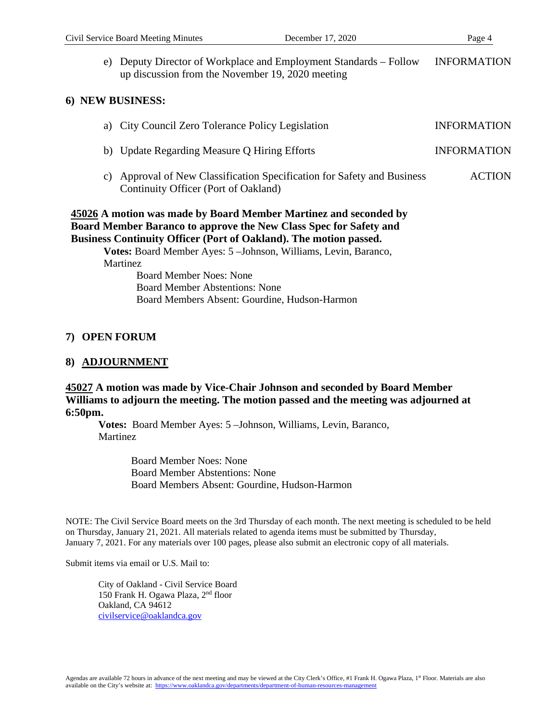e) Deputy Director of Workplace and Employment Standards – Follow up discussion from the November 19, 2020 meeting INFORMATION

### **6) NEW BUSINESS:**

|                 | a) City Council Zero Tolerance Policy Legislation                                                            | <b>INFORMATION</b> |
|-----------------|--------------------------------------------------------------------------------------------------------------|--------------------|
|                 | b) Update Regarding Measure Q Hiring Efforts                                                                 | <b>INFORMATION</b> |
| $\mathcal{C}$ ) | Approval of New Classification Specification for Safety and Business<br>Continuity Officer (Port of Oakland) | <b>ACTION</b>      |

# **45026 A motion was made by Board Member Martinez and seconded by Board Member Baranco to approve the New Class Spec for Safety and Business Continuity Officer (Port of Oakland). The motion passed.**

**Votes:** Board Member Ayes: 5 –Johnson, Williams, Levin, Baranco, **Martinez** 

Board Member Noes: None Board Member Abstentions: None Board Members Absent: Gourdine, Hudson-Harmon

### **7) OPEN FORUM**

### **8) ADJOURNMENT**

# **45027 A motion was made by Vice-Chair Johnson and seconded by Board Member Williams to adjourn the meeting. The motion passed and the meeting was adjourned at 6:50pm.**

**Votes:** Board Member Ayes: 5 –Johnson, Williams, Levin, Baranco, **Martinez** 

> Board Member Noes: None Board Member Abstentions: None Board Members Absent: Gourdine, Hudson-Harmon

NOTE: The Civil Service Board meets on the 3rd Thursday of each month. The next meeting is scheduled to be held on Thursday, January 21, 2021. All materials related to agenda items must be submitted by Thursday, January 7, 2021. For any materials over 100 pages, please also submit an electronic copy of all materials.

Submit items via email or U.S. Mail to:

City of Oakland - Civil Service Board 150 Frank H. Ogawa Plaza, 2nd floor Oakland, CA 94612 [civilservice@oaklandca.gov](mailto:civilservice@oaklandca.gov)